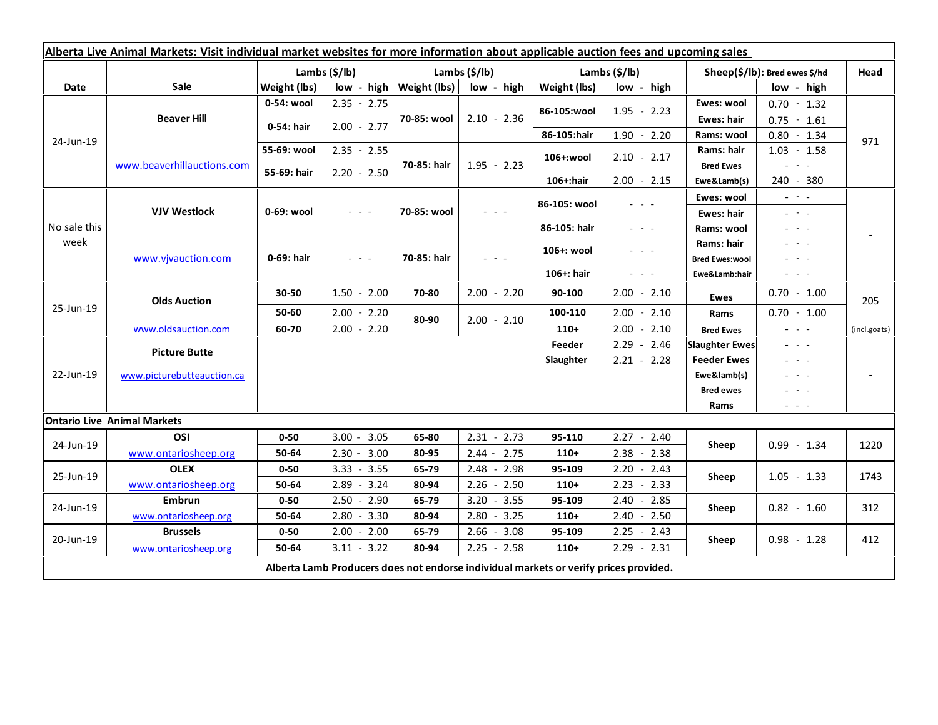| Alberta Live Animal Markets: Visit individual market websites for more information about applicable auction fees and upcoming sales |                                                    |                           |                                                                                   |                           |                                                                                                                           |                           |                                                                                                                           |                                                                                                  |                                                                                                                           |              |
|-------------------------------------------------------------------------------------------------------------------------------------|----------------------------------------------------|---------------------------|-----------------------------------------------------------------------------------|---------------------------|---------------------------------------------------------------------------------------------------------------------------|---------------------------|---------------------------------------------------------------------------------------------------------------------------|--------------------------------------------------------------------------------------------------|---------------------------------------------------------------------------------------------------------------------------|--------------|
|                                                                                                                                     |                                                    | Lambs $(\frac{2}{3})$ lb) |                                                                                   | Lambs $(\frac{2}{3})$ lb) |                                                                                                                           | Lambs $(\frac{2}{3})$ lb) |                                                                                                                           | Sheep(\$/lb): Bred ewes \$/hd                                                                    |                                                                                                                           | Head         |
| Date                                                                                                                                | Sale                                               | Weight (lbs)              | low - high                                                                        | <b>Weight (lbs)</b>       | low - high                                                                                                                | Weight (lbs)              | low - high                                                                                                                |                                                                                                  | low - high                                                                                                                |              |
| 24-Jun-19                                                                                                                           | <b>Beaver Hill</b>                                 | 0-54: wool                | $2.35 - 2.75$                                                                     | 70-85: wool               | $2.10 - 2.36$                                                                                                             | 86-105:wool               | $1.95 - 2.23$                                                                                                             | Ewes: wool                                                                                       | $0.70 - 1.32$                                                                                                             |              |
|                                                                                                                                     |                                                    | 0-54: hair                | $2.00 - 2.77$                                                                     |                           |                                                                                                                           |                           |                                                                                                                           | <b>Ewes: hair</b>                                                                                | $0.75 - 1.61$                                                                                                             |              |
|                                                                                                                                     |                                                    |                           |                                                                                   |                           |                                                                                                                           | 86-105:hair               | $1.90 - 2.20$                                                                                                             | Rams: wool                                                                                       | $0.80 - 1.34$                                                                                                             | 971          |
|                                                                                                                                     | www.beaverhillauctions.com                         | 55-69: wool               | $2.35 - 2.55$                                                                     | 70-85: hair               | $1.95 - 2.23$                                                                                                             | 106+:wool                 | $2.10 - 2.17$                                                                                                             | Rams: hair                                                                                       | $1.03 - 1.58$                                                                                                             |              |
|                                                                                                                                     |                                                    | 55-69: hair               | $2.20 - 2.50$                                                                     |                           |                                                                                                                           |                           |                                                                                                                           | <b>Bred Ewes</b>                                                                                 | $\omega_{\rm c} \sim \omega_{\rm c}$                                                                                      |              |
|                                                                                                                                     |                                                    |                           |                                                                                   |                           |                                                                                                                           | 106+:hair                 | $2.00 - 2.15$                                                                                                             | Ewe&Lamb(s)                                                                                      | 240 - 380                                                                                                                 |              |
| No sale this<br>week                                                                                                                | <b>VJV Westlock</b>                                | 0-69: wool                | $\omega_{\rm{eff}}$ and $\omega_{\rm{eff}}$                                       | 70-85: wool               | $\frac{1}{2} \left( \frac{1}{2} \right) \left( \frac{1}{2} \right) \left( \frac{1}{2} \right) \left( \frac{1}{2} \right)$ | 86-105: wool              | $\frac{1}{2} \left( \frac{1}{2} \right) \left( \frac{1}{2} \right) \left( \frac{1}{2} \right) \left( \frac{1}{2} \right)$ | Ewes: wool                                                                                       | $\omega_{\rm{eff}}=0.1$                                                                                                   |              |
|                                                                                                                                     |                                                    |                           |                                                                                   |                           |                                                                                                                           |                           |                                                                                                                           | Ewes: hair                                                                                       | $\frac{1}{2} \left( \frac{1}{2} \right) = \frac{1}{2} \left( \frac{1}{2} \right)$                                         |              |
|                                                                                                                                     |                                                    |                           |                                                                                   |                           |                                                                                                                           | 86-105: hair              | $\frac{1}{2} \left( \frac{1}{2} \right) \frac{1}{2} \left( \frac{1}{2} \right) \frac{1}{2} \left( \frac{1}{2} \right)$    | Rams: wool                                                                                       | $  -$                                                                                                                     |              |
|                                                                                                                                     | www.vivauction.com                                 | 0-69: hair                | $\frac{1}{2} \left( \frac{1}{2} \right) = \frac{1}{2} \left( \frac{1}{2} \right)$ | 70-85: hair               | $  -$                                                                                                                     | 106+: wool                | $  -$                                                                                                                     | Rams: hair                                                                                       | $  -$                                                                                                                     |              |
|                                                                                                                                     |                                                    |                           |                                                                                   |                           |                                                                                                                           |                           |                                                                                                                           | <b>Bred Ewes:wool</b>                                                                            | $\omega_{\rm{eff}}$ and $\omega_{\rm{eff}}$                                                                               |              |
|                                                                                                                                     |                                                    |                           |                                                                                   |                           |                                                                                                                           | 106+: hair                | $\omega_{\rm{c}}$ , $\omega_{\rm{c}}$ , $\omega_{\rm{c}}$                                                                 | Ewe&Lamb:hair                                                                                    | $\frac{1}{2} \left( \frac{1}{2} \right) \left( \frac{1}{2} \right) \left( \frac{1}{2} \right) \left( \frac{1}{2} \right)$ |              |
| 25-Jun-19                                                                                                                           | <b>Olds Auction</b>                                | 30-50                     | $1.50 - 2.00$                                                                     | 70-80                     | $2.00 - 2.20$                                                                                                             | 90-100                    | $2.00 - 2.10$                                                                                                             | <b>Ewes</b>                                                                                      | $0.70 - 1.00$                                                                                                             | 205          |
|                                                                                                                                     |                                                    | 50-60                     | $2.00 - 2.20$                                                                     | 80-90                     | $2.00 - 2.10$                                                                                                             | 100-110                   | $2.00 - 2.10$                                                                                                             | Rams                                                                                             | $0.70 - 1.00$                                                                                                             |              |
|                                                                                                                                     | www.oldsauction.com                                | 60-70                     | $2.00 - 2.20$                                                                     |                           |                                                                                                                           | $110+$                    | $2.00 - 2.10$                                                                                                             | <b>Bred Ewes</b>                                                                                 | 20202                                                                                                                     | (incl.goats) |
| 22-Jun-19                                                                                                                           | <b>Picture Butte</b><br>www.picturebutteauction.ca |                           |                                                                                   |                           |                                                                                                                           |                           | $2.29 - 2.46$                                                                                                             | <b>Slaughter Ewes</b>                                                                            | $\frac{1}{2} \left( \frac{1}{2} \right) \left( \frac{1}{2} \right) \left( \frac{1}{2} \right) \left( \frac{1}{2} \right)$ |              |
|                                                                                                                                     |                                                    |                           |                                                                                   |                           |                                                                                                                           | Slaughter                 | $2.21 - 2.28$                                                                                                             | <b>Feeder Ewes</b>                                                                               | $\omega_{\rm{eff}}$ , $\omega_{\rm{eff}}$                                                                                 |              |
|                                                                                                                                     |                                                    |                           |                                                                                   |                           |                                                                                                                           |                           |                                                                                                                           | Ewe&lamb(s)<br>$\frac{1}{2} \left( \frac{1}{2} \right) = \frac{1}{2} \left( \frac{1}{2} \right)$ |                                                                                                                           |              |
|                                                                                                                                     |                                                    |                           |                                                                                   |                           |                                                                                                                           |                           |                                                                                                                           | <b>Bred ewes</b>                                                                                 | $\frac{1}{2} \left( \frac{1}{2} \right) = \frac{1}{2} \left( \frac{1}{2} \right)$                                         |              |
|                                                                                                                                     |                                                    |                           |                                                                                   |                           |                                                                                                                           |                           |                                                                                                                           | Rams                                                                                             | $\begin{array}{cccccccccc} - & & - & & - & & - \end{array}$                                                               |              |
|                                                                                                                                     | <b>Ontario Live Animal Markets</b>                 |                           |                                                                                   |                           |                                                                                                                           |                           |                                                                                                                           |                                                                                                  |                                                                                                                           |              |
| 24-Jun-19                                                                                                                           | OSI                                                | $0 - 50$                  | 3.05<br>$3.00 -$                                                                  | 65-80                     | $2.31 - 2.73$                                                                                                             | 95-110                    | $2.27 - 2.40$                                                                                                             | Sheep                                                                                            | $0.99 - 1.34$                                                                                                             | 1220         |
|                                                                                                                                     | www.ontariosheep.org                               | 50-64                     | $2.30 - 3.00$                                                                     | 80-95                     | $2.44 - 2.75$                                                                                                             | $110+$                    | $2.38 - 2.38$                                                                                                             |                                                                                                  |                                                                                                                           |              |
| 25-Jun-19                                                                                                                           | <b>OLEX</b>                                        | $0 - 50$                  | 3.55<br>$3.33 -$                                                                  | 65-79                     | $2.48 -$<br>2.98                                                                                                          | 95-109                    | $2.20 - 2.43$                                                                                                             | Sheep                                                                                            | $1.05 - 1.33$                                                                                                             | 1743         |
|                                                                                                                                     | www.ontariosheep.org                               | 50-64                     | $2.89 - 3.24$                                                                     | 80-94                     | $2.26 - 2.50$                                                                                                             | $110+$                    | $2.23 - 2.33$                                                                                                             |                                                                                                  |                                                                                                                           |              |
| 24-Jun-19                                                                                                                           | Embrun                                             | $0 - 50$                  | $2.50 - 2.90$                                                                     | 65-79                     | $3.20 - 3.55$                                                                                                             | 95-109                    | 2.40<br>$-2.85$                                                                                                           | Sheep                                                                                            | $0.82 - 1.60$                                                                                                             | 312          |
|                                                                                                                                     | www.ontariosheep.org                               | 50-64                     | $2.80 - 3.30$                                                                     | 80-94                     | $2.80 - 3.25$                                                                                                             | $110+$                    | $2.40 - 2.50$                                                                                                             |                                                                                                  |                                                                                                                           |              |
| 20-Jun-19                                                                                                                           | <b>Brussels</b>                                    | $0 - 50$                  | $2.00 - 2.00$                                                                     | 65-79                     | $2.66 - 3.08$                                                                                                             | 95-109                    | $2.25 - 2.43$                                                                                                             | Sheep                                                                                            | $0.98 - 1.28$                                                                                                             | 412          |
|                                                                                                                                     | www.ontariosheep.org                               | 50-64                     | $3.11 - 3.22$                                                                     | 80-94                     | $2.25 - 2.58$                                                                                                             | $110+$                    | $2.29 - 2.31$                                                                                                             |                                                                                                  |                                                                                                                           |              |
| Alberta Lamb Producers does not endorse individual markets or verify prices provided.                                               |                                                    |                           |                                                                                   |                           |                                                                                                                           |                           |                                                                                                                           |                                                                                                  |                                                                                                                           |              |